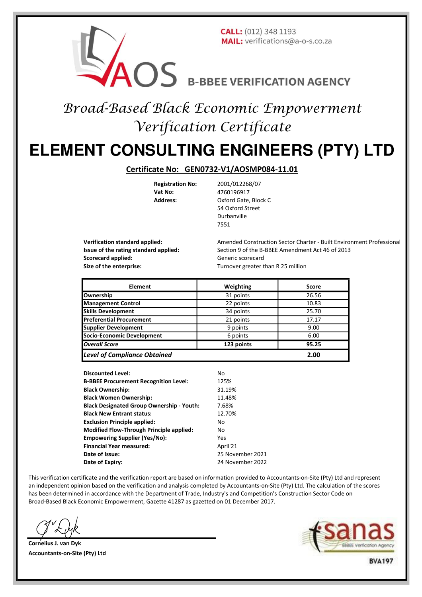

## Broad-Based Black Economic Empowerment Verification Certificate

# **ELEMENT CONSULTING ENGINEERS (PTY) LTD**

#### **Certificate No: GEN0732-V1/AOSMP084-11.01**

**Vat No:** 4760196917<br> **Address:** Oxford Gate

**Registration No:** 2001/012268/07<br>Vat No: 2760196917 **Oxford Gate, Block C** 54 Oxford Street Durbanville 7551

**Scorecard applied:** Generic scorecard **Size of the enterprise:** Turnover greater than R 25 million

**Verification standard applied:** Amended Construction Sector Charter - Built Environment Professional **Issue of the rating standard applied:** Section 9 of the B-BBEE Amendment Act 46 of 2013

| <b>Element</b>                      | Weighting  | <b>Score</b> |
|-------------------------------------|------------|--------------|
| Ownership                           | 31 points  | 26.56        |
| <b>Management Control</b>           | 22 points  | 10.83        |
| <b>Skills Development</b>           | 34 points  | 25.70        |
| <b>Preferential Procurement</b>     | 21 points  | 17.17        |
| <b>Supplier Development</b>         | 9 points   | 9.00         |
| <b>Socio-Economic Development</b>   | 6 points   | 6.00         |
| <b>Overall Score</b>                | 123 points | 95.25        |
| <b>Level of Compliance Obtained</b> |            | 2.00         |

**Discounted Level:** No **B-BBEE Procurement Recognition Level:** 125% **Black Ownership:** 31.19% **Black Women Ownership:** 11.48% **Black Designated Group Ownership - Youth:** 7.68% **Black New Entrant status:** 12.70% **Exclusion Principle applied:** No **Modified Flow-Through Principle applied:** No **Empowering Supplier (Yes/No):** Yes **Financial Year measured:** April'21 **Date of Issue:** 25 November 2021 **Date of Expiry:** 24 November 2022

This verification certificate and the verification report are based on information provided to Accountants-on-Site (Pty) Ltd and represent an independent opinion based on the verification and analysis completed by Accountants-on-Site (Pty) Ltd. The calculation of the scores has been determined in accordance with the Department of Trade, Industry's and Competition's Construction Sector Code on Broad-Based Black Economic Empowerment, Gazette 41287 as gazetted on 01 December 2017.

**Cornelius J. van Dyk Accountants-on-Site (Pty) Ltd**

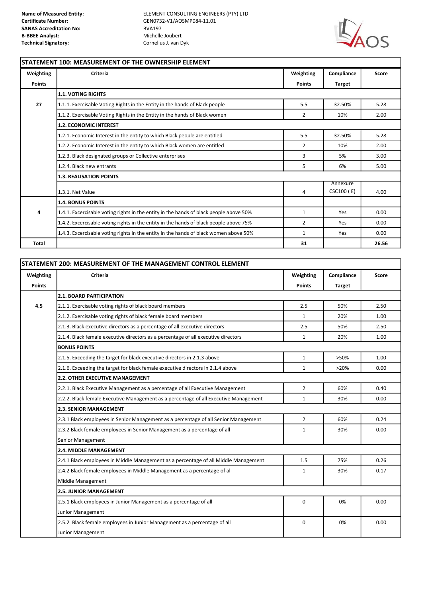**Name of Measured Entity:**<br>**Centificate Number:** ELEMENT CONSULTING ENGINEERS (PTY) LTD<br>**GEN0732-V1/AOSMP084-11.01 Certificate Number:** GEN0732-V1/AOSMP084-11.01



 $\overline{1}$ 

### **STATEMENT 100: MEASUREMENT OF THE OWNERSHIP ELEMENT**

| Weighting     | Criteria                                                                               | Weighting      | Compliance    | Score |
|---------------|----------------------------------------------------------------------------------------|----------------|---------------|-------|
| <b>Points</b> |                                                                                        | <b>Points</b>  | <b>Target</b> |       |
|               | <b>1.1. VOTING RIGHTS</b>                                                              |                |               |       |
| 27            | 1.1.1. Exercisable Voting Rights in the Entity in the hands of Black people            | 5.5            | 32.50%        | 5.28  |
|               | 1.1.2. Exercisable Voting Rights in the Entity in the hands of Black women             | $\overline{2}$ | 10%           | 2.00  |
|               | <b>1.2. ECONOMIC INTEREST</b>                                                          |                |               |       |
|               | 1.2.1. Economic Interest in the entity to which Black people are entitled              | 5.5            | 32.50%        | 5.28  |
|               | 1.2.2. Economic Interest in the entity to which Black women are entitled               | 2              | 10%           | 2.00  |
|               | 1.2.3. Black designated groups or Collective enterprises                               | 3              | 5%            | 3.00  |
|               | 1.2.4. Black new entrants                                                              | 5              | 6%            | 5.00  |
|               | <b>1.3. REALISATION POINTS</b><br>Annexure                                             |                |               |       |
|               |                                                                                        |                |               |       |
|               | 1.3.1. Net Value                                                                       | 4              | CSC100 (E)    | 4.00  |
|               | <b>1.4. BONUS POINTS</b>                                                               |                |               |       |
| 4             | 1.4.1. Excercisable voting rights in the entity in the hands of black people above 50% | $\mathbf{1}$   | Yes           | 0.00  |
|               | 1.4.2. Excercisable voting rights in the entity in the hands of black people above 75% | $\overline{2}$ | Yes           | 0.00  |
|               | 1.4.3. Excercisable voting rights in the entity in the hands of black women above 50%  | 1              | Yes           | 0.00  |
| <b>Total</b>  |                                                                                        | 31             |               | 26.56 |

|                            | STATEMENT 200: MEASUREMENT OF THE MANAGEMENT CONTROL ELEMENT                         |                            |                             |       |  |  |
|----------------------------|--------------------------------------------------------------------------------------|----------------------------|-----------------------------|-------|--|--|
| Weighting<br><b>Points</b> | <b>Criteria</b>                                                                      | Weighting<br><b>Points</b> | Compliance<br><b>Target</b> | Score |  |  |
|                            | <b>2.1. BOARD PARTICIPATION</b>                                                      |                            |                             |       |  |  |
| 4.5                        | 2.1.1. Exercisable voting rights of black board members                              | 2.5                        | 50%                         | 2.50  |  |  |
|                            | 2.1.2. Exercisable voting rights of black female board members                       | $\mathbf{1}$               | 20%                         | 1.00  |  |  |
|                            | 2.1.3. Black executive directors as a percentage of all executive directors          | 2.5                        | 50%                         | 2.50  |  |  |
|                            | 2.1.4. Black female executive directors as a percentage of all executive directors   | $\mathbf{1}$               | 20%                         | 1.00  |  |  |
|                            | <b>BONUS POINTS</b>                                                                  |                            |                             |       |  |  |
|                            | 2.1.5. Exceeding the target for black executive directors in 2.1.3 above             | $\mathbf{1}$               | >50%                        | 1.00  |  |  |
|                            | 2.1.6. Exceeding the target for black female executive directors in 2.1.4 above      | $\mathbf{1}$               | >20%                        | 0.00  |  |  |
|                            | <b>2.2. OTHER EXECUTIVE MANAGEMENT</b>                                               |                            |                             |       |  |  |
|                            | 2.2.1. Black Executive Management as a percentage of all Executive Management        | $\overline{2}$             | 60%                         | 0.40  |  |  |
|                            | 2.2.2. Black female Executive Management as a percentage of all Executive Management | $\mathbf{1}$               | 30%                         | 0.00  |  |  |
|                            | <b>2.3. SENIOR MANAGEMENT</b>                                                        |                            |                             |       |  |  |
|                            | 2.3.1 Black employees in Senior Management as a percentage of all Senior Management  | $\overline{2}$             | 60%                         | 0.24  |  |  |
|                            | 2.3.2 Black female employees in Senior Management as a percentage of all             | $\mathbf{1}$               | 30%                         | 0.00  |  |  |
|                            | Senior Management                                                                    |                            |                             |       |  |  |
|                            | 2.4. MIDDLE MANAGEMENT                                                               |                            |                             |       |  |  |
|                            | 2.4.1 Black employees in Middle Management as a percentage of all Middle Management  | 1.5                        | 75%                         | 0.26  |  |  |
|                            | 2.4.2 Black female employees in Middle Management as a percentage of all             | $\mathbf{1}$               | 30%                         | 0.17  |  |  |
|                            | Middle Management                                                                    |                            |                             |       |  |  |
|                            | <b>2.5. JUNIOR MANAGEMENT</b>                                                        |                            |                             |       |  |  |
|                            | 2.5.1 Black employees in Junior Management as a percentage of all                    | $\Omega$                   | 0%                          | 0.00  |  |  |
|                            | Junior Management                                                                    |                            |                             |       |  |  |
|                            | 2.5.2 Black female employees in Junior Management as a percentage of all             | 0                          | 0%                          | 0.00  |  |  |
|                            | Junior Management                                                                    |                            |                             |       |  |  |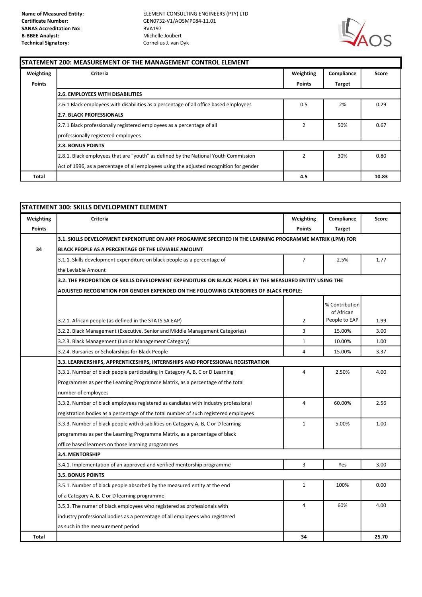**Name of Measured Entity:**<br>**Centificate Number:** ELEMENT CONSULTING ENGINEERS (PTY) LTD<br>**GEN0732-V1/AOSMP084-11.01 Certificate Number:** GEN0732-V1/AOSMP084-11.01



#### **STATEMENT 200: MEASUREMENT OF THE MANAGEMENT CONTROL ELEMENT**

| Weighting     | Criteria                                                                                | Weighting      | Compliance | Score |
|---------------|-----------------------------------------------------------------------------------------|----------------|------------|-------|
| <b>Points</b> |                                                                                         | <b>Points</b>  | Target     |       |
|               | <b>2.6. EMPLOYEES WITH DISABILITIES</b>                                                 |                |            |       |
|               | 2.6.1 Black employees with disabilities as a percentage of all office based employees   | 0.5            | 2%         | 0.29  |
|               | <b>2.7. BLACK PROFESSIONALS</b>                                                         |                |            |       |
|               | 2.7.1 Black professionally registered employees as a percentage of all                  | $\overline{2}$ | 50%        | 0.67  |
|               | professionally registered employees                                                     |                |            |       |
|               | <b>2.8. BONUS POINTS</b>                                                                |                |            |       |
|               | 2.8.1. Black employees that are "youth" as defined by the National Youth Commission     |                | 30%        | 0.80  |
|               | Act of 1996, as a percentage of all employees using the adjusted recognition for gender |                |            |       |
| Total         |                                                                                         | 4.5            |            | 10.83 |

| Weighting     | Criteria                                                                                                 | Weighting      | Compliance     | Score |  |  |
|---------------|----------------------------------------------------------------------------------------------------------|----------------|----------------|-------|--|--|
| <b>Points</b> |                                                                                                          | <b>Points</b>  | <b>Target</b>  |       |  |  |
|               | 3.1. SKILLS DEVELOPMENT EXPENDITURE ON ANY PROGAMME SPECIFIED IN THE LEARNING PROGRAMME MATRIX (LPM) FOR |                |                |       |  |  |
| 34            | BLACK PEOPLE AS A PERCENTAGE OF THE LEVIABLE AMOUNT                                                      |                |                |       |  |  |
|               | 3.1.1. Skills development expenditure on black people as a percentage of                                 | $\overline{7}$ | 2.5%           | 1.77  |  |  |
|               | the Leviable Amount                                                                                      |                |                |       |  |  |
|               | 3.2. THE PROPORTION OF SKILLS DEVELOPMENT EXPENDITURE ON BLACK PEOPLE BY THE MEASURED ENTITY USING THE   |                |                |       |  |  |
|               | ADJUSTED RECOGNITION FOR GENDER EXPENDED ON THE FOLLOWING CATEGORIES OF BLACK PEOPLE:                    |                |                |       |  |  |
|               |                                                                                                          |                | % Contribution |       |  |  |
|               |                                                                                                          |                | of African     |       |  |  |
|               | 3.2.1. African people (as defined in the STATS SA EAP)                                                   | 2              | People to EAP  | 1.99  |  |  |
|               | 3.2.2. Black Management (Executive, Senior and Middle Management Categories)                             | 3              | 15.00%         | 3.00  |  |  |
|               | 3.2.3. Black Management (Junior Management Category)                                                     | $\mathbf 1$    | 10.00%         | 1.00  |  |  |
|               | 3.2.4. Bursaries or Scholarships for Black People                                                        | $\overline{4}$ | 15.00%         | 3.37  |  |  |
|               |                                                                                                          |                |                |       |  |  |
|               | 3.3.1. Number of black people participating in Category A, B, C or D Learning                            | $\overline{4}$ | 2.50%          | 4.00  |  |  |
|               | Programmes as per the Learning Programme Matrix, as a percentage of the total                            |                |                |       |  |  |
|               | number of employees                                                                                      |                |                |       |  |  |
|               | 3.3.2. Number of black employees registered as candiates with industry professional                      | $\overline{a}$ | 60.00%         | 2.56  |  |  |
|               | registration bodies as a percentage of the total number of such registered employees                     |                |                |       |  |  |
|               | 3.3.3. Number of black people with disabilities on Category A, B, C or D learning                        | $\mathbf{1}$   | 5.00%          | 1.00  |  |  |
|               | programmes as per the Learning Programme Matrix, as a percentage of black                                |                |                |       |  |  |
|               | office based learners on those learning programmes                                                       |                |                |       |  |  |
|               | 3.4. MENTORSHIP                                                                                          |                |                |       |  |  |
|               | 3.4.1. Implementation of an approved and verified mentorship programme                                   | 3              | Yes            | 3.00  |  |  |
|               | 3.5. BONUS POINTS                                                                                        |                |                |       |  |  |
|               | 3.5.1. Number of black people absorbed by the measured entity at the end                                 | $\mathbf{1}$   | 100%           | 0.00  |  |  |
|               | of a Category A, B, C or D learning programme                                                            |                |                |       |  |  |
|               | 3.5.3. The numer of black employees who registered as professionals with                                 | 4              | 60%            | 4.00  |  |  |
|               | industry professional bodies as a percentage of all employees who registered                             |                |                |       |  |  |
|               | as such in the measurement period                                                                        |                |                |       |  |  |
| Total         |                                                                                                          | 34             |                | 25.70 |  |  |